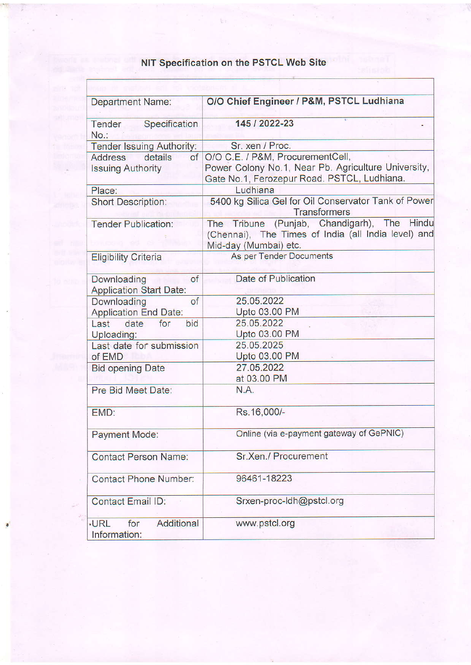## NIT Specification on the PSTCL Web Site

 $\mathbb{L}$  :

 $\mathbf{r}$ 

| <b>Department Name:</b>                                     | O/O Chief Engineer / P&M, PSTCL Ludhiana                                                                                               |
|-------------------------------------------------------------|----------------------------------------------------------------------------------------------------------------------------------------|
| Tender<br>Specification<br>No.                              | 145 / 2022-23                                                                                                                          |
| Tender Issuing Authority:                                   | Sr. xen / Proc.                                                                                                                        |
| <b>Address</b><br>details<br>of<br><b>Issuing Authority</b> | O/O C.E. / P&M, ProcurementCell,<br>Power Colony No.1, Near Pb. Agriculture University,<br>Gate No.1, Ferozepur Road. PSTCL, Ludhiana. |
| Place:                                                      | Ludhiana                                                                                                                               |
| <b>Short Description:</b>                                   | 5400 kg Silica Gel for Oil Conservator Tank of Power<br><b>Transformers</b>                                                            |
| <b>Tender Publication:</b>                                  | The Tribune (Punjab, Chandigarh), The Hindu<br>(Chennai), The Times of India (all India level) and<br>Mid-day (Mumbai) etc.            |
| <b>Eligibility Criteria</b>                                 | As per Tender Documents                                                                                                                |
| of<br>Downloading<br><b>Application Start Date:</b>         | Date of Publication                                                                                                                    |
| of<br>Downloading<br><b>Application End Date:</b>           | 25.05.2022<br>Upto 03.00 PM                                                                                                            |
| bid<br>Last<br>date<br>for<br>Uploading:                    | 25.05.2022<br>Upto 03.00 PM                                                                                                            |
| Last date for submission<br>of EMD                          | 25.05.2025<br>Upto 03.00 PM                                                                                                            |
| <b>Bid opening Date</b>                                     | 27.05.2022<br>at 03.00 PM                                                                                                              |
| Pre Bid Meet Date:                                          | N.A.                                                                                                                                   |
| EMD:                                                        | Rs.16,000/-                                                                                                                            |
| Payment Mode:                                               | Online (via e-payment gateway of GePNIC)                                                                                               |
| <b>Contact Person Name:</b>                                 | Sr.Xen./ Procurement                                                                                                                   |
| Contact Phone Number:                                       | 96461-18223                                                                                                                            |
| <b>Contact Email ID:</b>                                    | Srxen-proc-Idh@pstcl.org                                                                                                               |
| Additional<br><b>.URL</b><br>for<br>Information:            | www.pstcl.org                                                                                                                          |